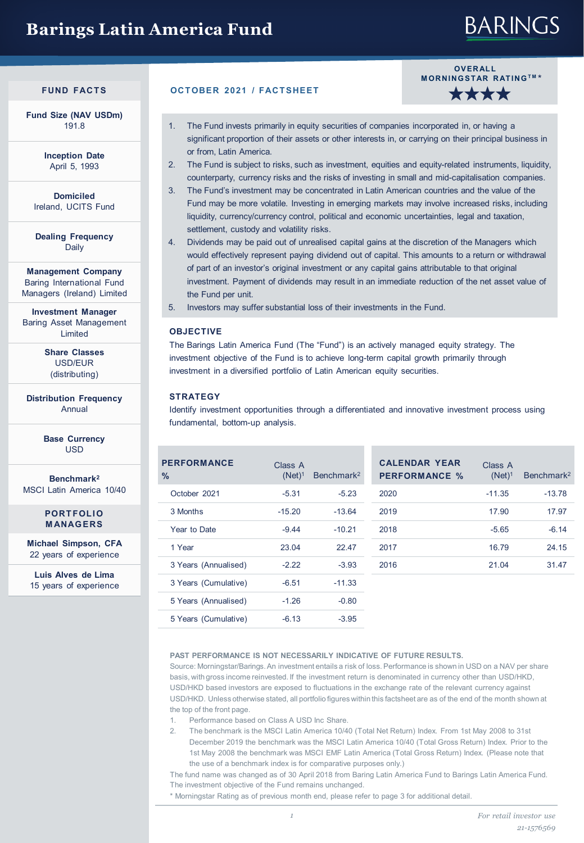## **Barings Latin America Fund**

# **BARINGS**

**Fund Size (NAV USDm)** 191.8

> **Inception Date** April 5, 1993

**Domiciled** Ireland, UCITS Fund

**Dealing Frequency** Daily

**Management Company** Baring International Fund Managers (Ireland) Limited

**Investment Manager** Baring Asset Management Limited

> **Share Classes** USD/EUR (distributing)

**Distribution Frequency** Annual

> **Base Currency** USD

**Benchmark2** MSCI Latin America 10/40

> **PORTFOLIO MANAGERS**

**Michael Simpson, CFA**  22 years of experience

**Luis Alves de Lima**  15 years of experience

#### **FUND FACTS OCTOBER 2021 / FACTSHEET**



- 1. The Fund invests primarily in equity securities of companies incorporated in, or having a significant proportion of their assets or other interests in, or carrying on their principal business in or from, Latin America.
- 2. The Fund is subject to risks, such as investment, equities and equity-related instruments, liquidity, counterparty, currency risks and the risks of investing in small and mid-capitalisation companies.
- 3. The Fund's investment may be concentrated in Latin American countries and the value of the Fund may be more volatile. Investing in emerging markets may involve increased risks, including liquidity, currency/currency control, political and economic uncertainties, legal and taxation, settlement, custody and volatility risks.
- 4. Dividends may be paid out of unrealised capital gains at the discretion of the Managers which would effectively represent paying dividend out of capital. This amounts to a return or withdrawal of part of an investor's original investment or any capital gains attributable to that original investment. Payment of dividends may result in an immediate reduction of the net asset value of the Fund per unit.

5. Investors may suffer substantial loss of their investments in the Fund.

#### **OBJECTIVE**

The Barings Latin America Fund (The "Fund") is an actively managed equity strategy. The investment objective of the Fund is to achieve long-term capital growth primarily through investment in a diversified portfolio of Latin American equity securities.

#### **STRATEGY**

Identify investment opportunities through a differentiated and innovative investment process using fundamental, bottom-up analysis.

| <b>PERFORMANCE</b><br>$\frac{0}{0}$ | Class A<br>$(Net)^1$ | Benchmark <sup>2</sup> | <b>CALENDAR YEAR</b><br><b>PERFORMANCE %</b> | Class A<br>$(Net)^1$ | Benchmark <sup>2</sup> |
|-------------------------------------|----------------------|------------------------|----------------------------------------------|----------------------|------------------------|
| October 2021                        | $-5.31$              | $-5.23$                | 2020                                         | $-11.35$             | $-13.78$               |
| 3 Months                            | $-15.20$             | $-13.64$               | 2019                                         | 17.90                | 17.97                  |
| Year to Date                        | $-9.44$              | $-10.21$               | 2018                                         | $-5.65$              | $-6.14$                |
| 1 Year                              | 23.04                | 22.47                  | 2017                                         | 16.79                | 24.15                  |
| 3 Years (Annualised)                | $-2.22$              | $-3.93$                | 2016                                         | 21.04                | 31.47                  |
| 3 Years (Cumulative)                | $-6.51$              | $-11.33$               |                                              |                      |                        |
| 5 Years (Annualised)                | $-1.26$              | $-0.80$                |                                              |                      |                        |
| 5 Years (Cumulative)                | $-6.13$              | $-3.95$                |                                              |                      |                        |

#### **PAST PERFORMANCE IS NOT NECESSARILY INDICATIVE OF FUTURE RESULTS.**

Source: Morningstar/Barings. An investment entails a risk of loss. Performance is shown in USD on a NAV per share basis, with gross income reinvested. If the investment return is denominated in currency other than USD/HKD, USD/HKD based investors are exposed to fluctuations in the exchange rate of the relevant currency against USD/HKD. Unless otherwise stated, all portfolio figures within this factsheet are as of the end of the month shown at the top of the front page.

- 1. Performance based on Class A USD Inc Share.
- 2. The benchmark is the MSCI Latin America 10/40 (Total Net Return) Index. From 1st May 2008 to 31st December 2019 the benchmark was the MSCI Latin America 10/40 (Total Gross Return) Index. Prior to the 1st May 2008 the benchmark was MSCI EMF Latin America (Total Gross Return) Index. (Please note that the use of a benchmark index is for comparative purposes only.)

The fund name was changed as of 30 April 2018 from Baring Latin America Fund to Barings Latin America Fund. The investment objective of the Fund remains unchanged.

\* Morningstar Rating as of previous month end, please refer to page 3 for additional detail.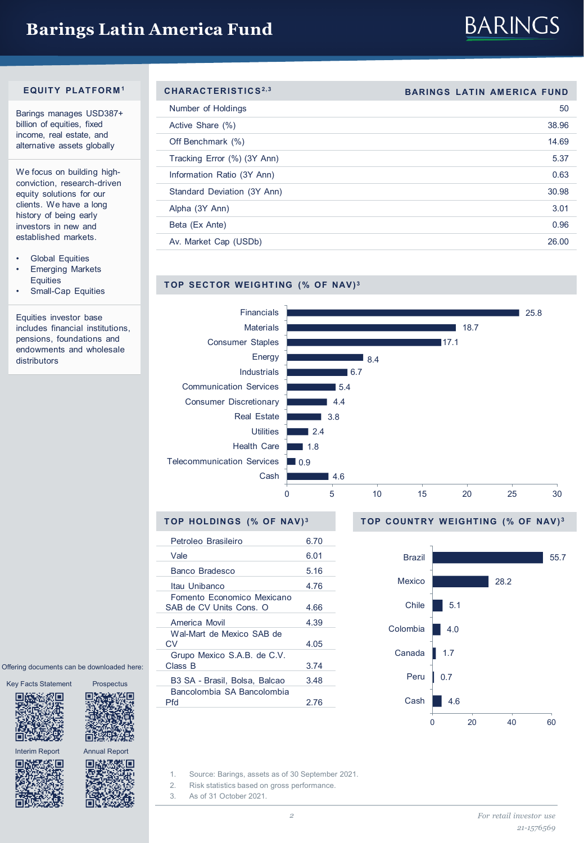### **Barings Latin America Fund**



#### **EQUITY PLATFORM <sup>1</sup>**

Barings manages USD387+ billion of equities, fixed income, real estate, and alternative assets globally

We focus on building highconviction, research-driven equity solutions for our clients. We have a long history of being early investors in new and established markets.

- **Global Equities**
- **Emerging Markets Equities**
- Small-Cap Equities

Equities investor base includes financial institutions, pensions, foundations and endowments and wholesale distributors

| Ę    |
|------|
| 的复数黑 |
|      |
|      |

Offering documents can be downloaded here:



m

Interim Report Annual Report





| CHARACTERISTICS <sup>2,3</sup> | <b>BARINGS LATIN AMERICA FUND</b> |
|--------------------------------|-----------------------------------|
| Number of Holdings             | 50                                |
| Active Share (%)               | 38.96                             |
| Off Benchmark (%)              | 14.69                             |
| Tracking Error (%) (3Y Ann)    | 5.37                              |
| Information Ratio (3Y Ann)     | 0.63                              |
| Standard Deviation (3Y Ann)    | 30.98                             |
| Alpha (3Y Ann)                 | 3.01                              |
| Beta (Ex Ante)                 | 0.96                              |
| Av. Market Cap (USDb)          | 26.00                             |
|                                |                                   |

### **TOP SECTOR WEIGHTING (% OF NAV) <sup>3</sup>**



#### **TOP HOLDINGS (% OF NAV) <sup>3</sup>**

| Petroleo Brasileiro                                   | 6.70 |               |
|-------------------------------------------------------|------|---------------|
| Vale                                                  | 6.01 | <b>Brazil</b> |
| Banco Bradesco                                        | 5.16 |               |
| Itau Unibanco                                         | 4.76 | Mexico        |
| Fomento Economico Mexicano<br>SAB de CV Units Cons. O | 4.66 | Chile         |
| America Movil                                         | 4.39 |               |
| Wal-Mart de Mexico SAB de<br>CV                       | 4.05 | Colombia      |
| Grupo Mexico S.A.B. de C.V.<br>Class B                | 3.74 | Canada        |
| B3 SA - Brasil, Bolsa, Balcao                         | 3.48 | Peru          |
| Bancolombia SA Bancolombia<br>Pfd                     | 2.76 | Cash          |
|                                                       |      |               |

#### **TOP COUNTRY WEIGHTING (% OF NAV) <sup>3</sup>**



- 1. Source: Barings, assets as of 30 September 2021.
- 2. Risk statistics based on gross performance.
- 3. As of 31 October 2021.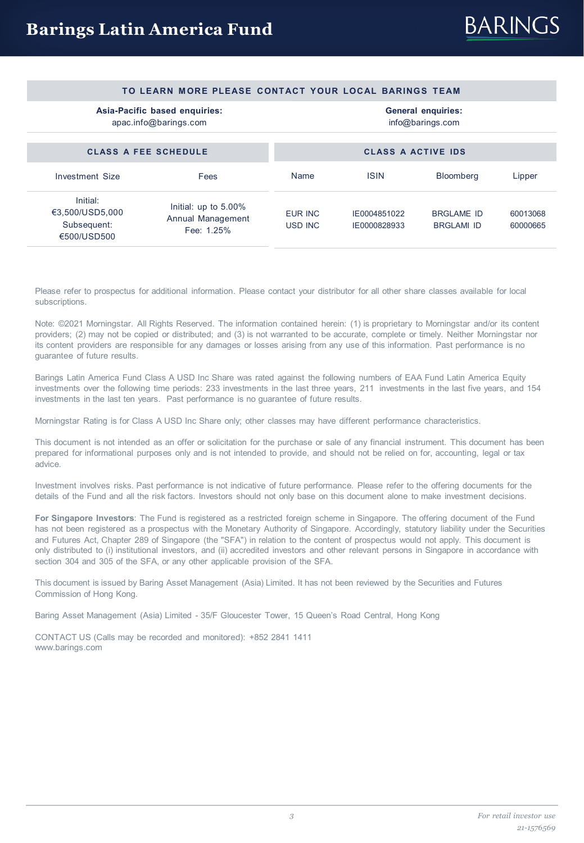#### **TO LEARN MORE PLEASE CONTACT YOUR LOCAL BARINGS TEAM**

### **Asia-Pacific based enquiries:**

apac.info@barings.com

**General enquiries:** info@barings.com

| <b>CLASS A FEE SCHEDULE</b>                             |                           | <b>CLASS A ACTIVE IDS</b>    |                                        |                      |  |
|---------------------------------------------------------|---------------------------|------------------------------|----------------------------------------|----------------------|--|
| Fees                                                    | Name                      | <b>ISIN</b>                  | <b>Bloomberg</b>                       | Lipper               |  |
| Initial: up to 5.00%<br>Annual Management<br>Fee: 1.25% | EUR INC<br><b>USD INC</b> | IE0004851022<br>IE0000828933 | <b>BRGLAME ID</b><br><b>BRGLAMI ID</b> | 60013068<br>60000665 |  |
|                                                         |                           |                              |                                        |                      |  |

Please refer to prospectus for additional information. Please contact your distributor for all other share classes available for local subscriptions.

Note: ©2021 Morningstar. All Rights Reserved. The information contained herein: (1) is proprietary to Morningstar and/or its content providers; (2) may not be copied or distributed; and (3) is not warranted to be accurate, complete or timely. Neither Morningstar nor its content providers are responsible for any damages or losses arising from any use of this information. Past performance is no guarantee of future results.

Barings Latin America Fund Class A USD Inc Share was rated against the following numbers of EAA Fund Latin America Equity investments over the following time periods: 233 investments in the last three years, 211 investments in the last five years, and 154 investments in the last ten years. Past performance is no guarantee of future results.

Morningstar Rating is for Class A USD Inc Share only; other classes may have different performance characteristics.

This document is not intended as an offer or solicitation for the purchase or sale of any financial instrument. This document has been prepared for informational purposes only and is not intended to provide, and should not be relied on for, accounting, legal or tax advice.

Investment involves risks. Past performance is not indicative of future performance. Please refer to the offering documents for the details of the Fund and all the risk factors. Investors should not only base on this document alone to make investment decisions.

**For Singapore Investors**: The Fund is registered as a restricted foreign scheme in Singapore. The offering document of the Fund has not been registered as a prospectus with the Monetary Authority of Singapore. Accordingly, statutory liability under the Securities and Futures Act, Chapter 289 of Singapore (the "SFA") in relation to the content of prospectus would not apply. This document is only distributed to (i) institutional investors, and (ii) accredited investors and other relevant persons in Singapore in accordance with section 304 and 305 of the SFA, or any other applicable provision of the SFA.

This document is issued by Baring Asset Management (Asia) Limited. It has not been reviewed by the Securities and Futures Commission of Hong Kong.

Baring Asset Management (Asia) Limited - 35/F Gloucester Tower, 15 Queen's Road Central, Hong Kong

CONTACT US (Calls may be recorded and monitored): +852 2841 1411 www.barings.com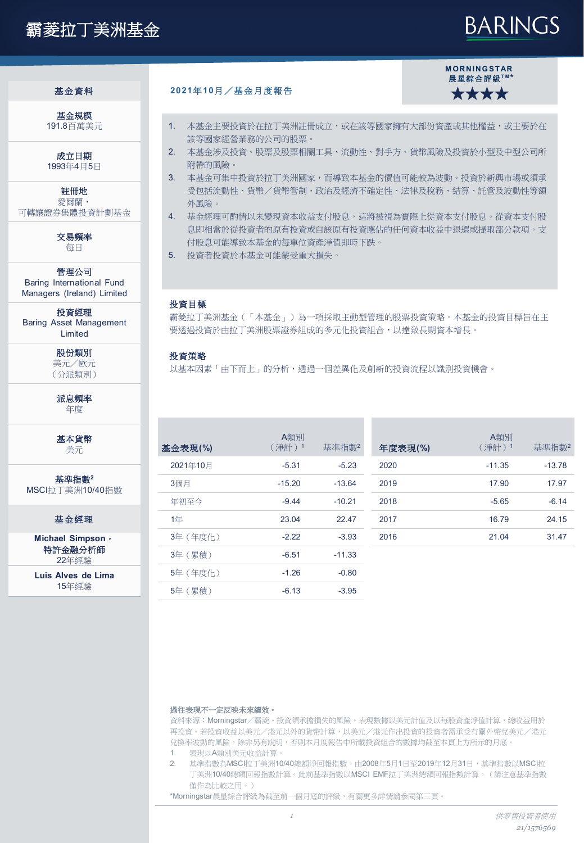## 霸菱拉丁美洲基金

# **BARINGS**

基金規模 191.8百萬美元

成立日期 1993年4月5日

註冊地 愛爾蘭, 可轉讓證券集體投資計劃基金

> 交易頻率 每日

管理公司 Baring International Fund Managers (Ireland) Limited

投資經理 Baring Asset Management Limited

> 股份類別 美元/歐元 (分派類別)

派息頻率 年度

基本貨幣 美元

基準指數**<sup>2</sup>** MSCI拉丁美洲10/40指數

基金經理

**Michael Simpson**, 特許金融分析師 22年經驗

**Luis Alves de Lima** 15年經驗

#### 基金資料 **2021**年**10**月/基金月度報告



- 1. 本基金主要投資於在拉丁美洲註冊成立,或在該等國家擁有大部份資產或其他權益,或主要於在 該等國家經營業務的公司的股票。
- 2. 本基金涉及投資、股票及股票相關工具、流動性、對手方、貨幣風險及投資於小型及中型公司所 附帶的風險。
- 3. 本基金可集中投資於拉丁美洲國家,而導致本基金的價值可能較為波動。投資於新興市場或須承 受包括流動性、貨幣/貨幣管制、政治及經濟不確定性、法律及稅務、結算、託管及波動性等額 外風險。
- 4. 基金經理可酌情以未變現資本收益支付股息,這將被視為實際上從資本支付股息。從資本支付股 息即相當於從投資者的原有投資或自該原有投資應佔的任何資本收益中退還或提取部分款項。支 付股息可能導致本基金的每單位資產淨值即時下跌。
- 5. 投資者投資於本基金可能蒙受重大損失。

#### 投資目標

霸菱拉丁美洲基金(「本基金」)為一項採取主動型管理的股票投資策略。本基金的投資目標旨在主 要透過投資於由拉丁美洲股票證券組成的多元化投資組合,以達致長期資本增長。

#### 投資策略

以基本因素「由下而上」的分析,透過一個差異化及創新的投資流程以識別投資機會。

| 基金表現(%)  | A類別<br>(淨計) 1 | 基準指數2    | 年度表現(%) | A類別<br>(淨計)1 | 基準指數2    |
|----------|---------------|----------|---------|--------------|----------|
| 2021年10月 | $-5.31$       | $-5.23$  | 2020    | $-11.35$     | $-13.78$ |
| 3個月      | $-15.20$      | $-13.64$ | 2019    | 17.90        | 17.97    |
| 年初至今     | $-9.44$       | $-10.21$ | 2018    | $-5.65$      | $-6.14$  |
| 1年       | 23.04         | 22.47    | 2017    | 16.79        | 24.15    |
| 3年 (年度化) | $-2.22$       | $-3.93$  | 2016    | 21.04        | 31.47    |
| 3年(累積)   | $-6.51$       | $-11.33$ |         |              |          |
| 5年 (年度什) | $-1.26$       | $-0.80$  |         |              |          |
| 5年 (累積)  | $-6.13$       | $-3.95$  |         |              |          |

#### 過往表現不一定反映未來績效。

資料來源:Morningstar/霸菱。投資須承擔損失的風險。表現數據以美元計值及以每股資產淨值計算,總收益用於 再投資。若投資收益以美元/港元以外的貨幣計算,以美元/港元作出投資的投資者需承受有關外幣兌美元/港元 兌換率波動的風險。除非另有說明,否則本月度報告中所載投資組合的數據均截至本頁上方所示的月底。

- 1. 表現以A類別美元收益計算。
- 2. 基準指數為MSCI拉丁美洲10/40總額淨回報指數。由2008年5月1日至2019年12月31日,基準指數以MSCI拉 丁美洲10/40總額回報指數計算。此前基準指數以MSCI EMF拉丁美洲總額回報指數計算。(請注意基準指數 僅作為比較之用。)

\*Morningstar晨星綜合評級為截至前一個月底的評級,有關更多詳情請參閱第三頁。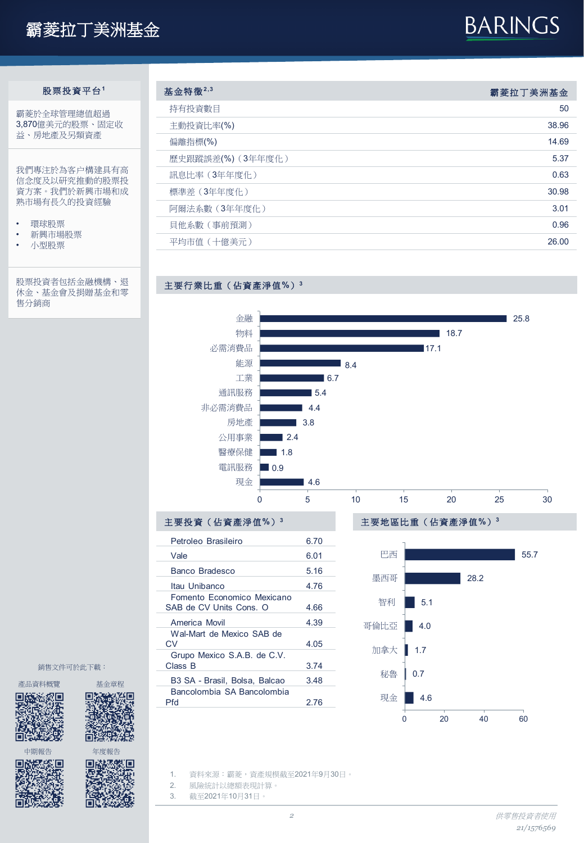# 霸菱拉丁美洲基金

# **BARINGS**

### 股票投資平台**<sup>1</sup>**

霸菱於全球管理總值超過 3,870億美元的股票、固定收 益、房地產及另類資產

我們專注於為客户構建具有高 信念度及以研究推動的股票投 資方案。我們於新興市場和成 熟市場有長久的投資經驗

- 環球股票
- 新興市場股票
- 小型股票

股票投資者包括金融機構、退 休金、基金會及捐贈基金和零 售分銷商

| 基金特徵 $2,3$        | 霸菱拉丁美洲基金 |
|-------------------|----------|
| 持有投資數目            | 50       |
| 主動投資比率(%)         | 38.96    |
| 偏離指標(%)           | 14.69    |
| 歷史跟蹤誤差(%) (3年年度化) | 5.37     |
| 訊息比率 (3年年度化)      | 0.63     |
| 標準差 (3年年度化)       | 30.98    |
| 阿爾法系數(3年年度化)      | 3.01     |
| 目他系數 ( 事前預測 )     | 0.96     |
| 平均市值 (十億美元)       | 26.00    |
|                   |          |



| 土娄投資(佔資座净伹》)                                          |       |
|-------------------------------------------------------|-------|
| Petroleo Brasileiro                                   | 6.70  |
| Vale                                                  | 6.01  |
| Banco Bradesco                                        | 5.16  |
| Itau Unibanco                                         | 4 7 6 |
| Fomento Economico Mexicano<br>SAB de CV Units Cons. O | 466   |
| America Movil                                         | 4.39  |
| Wal-Mart de Mexico SAB de<br>CV                       | 4.05  |
| Grupo Mexico S.A.B. de C.V.<br>Class B                | 3.74  |
| B3 SA - Brasil, Bolsa, Balcao                         | 3.48  |
| Bancolombia SA Bancolombia<br>Pfd                     | 2.76  |
|                                                       |       |

主要行業比重(佔資產淨值**%**)**<sup>3</sup>**



銷售文件可於此下載:



钪

Юľ

Į,

中期報告 年度報告<br>**[6]規模[6] 回路機製[回]**<br>『科学研究』 建成[5] (現代

o

1. 資料來源:霸菱,資產規模截至2021年9月30日。

2. 風險統計以總額表現計算。

3. 截至2021年10月31日。